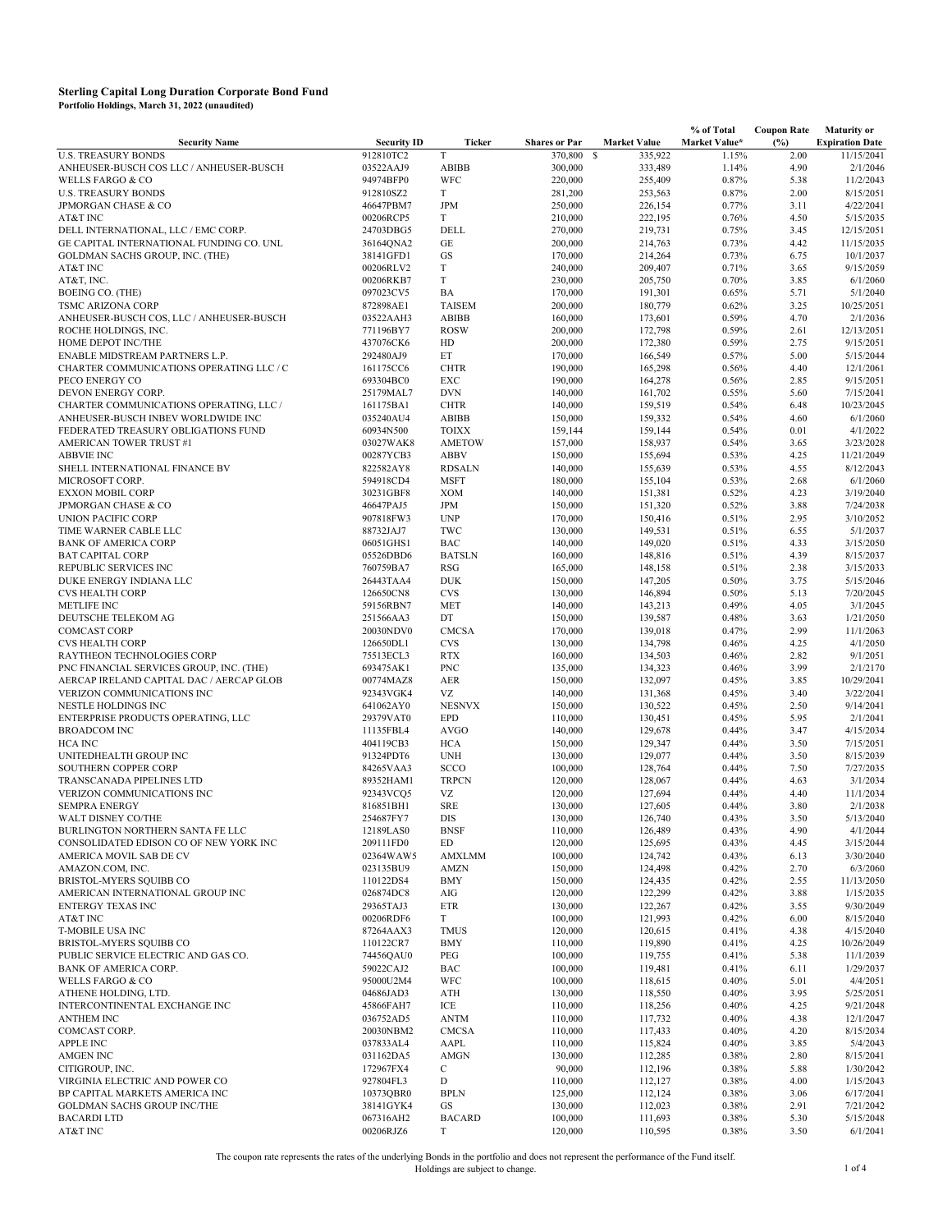|                                          |                    |               |                      |                     | % of Total    | <b>Coupon Rate</b> | <b>Maturity or</b>     |
|------------------------------------------|--------------------|---------------|----------------------|---------------------|---------------|--------------------|------------------------|
| <b>Security Name</b>                     | <b>Security ID</b> | <b>Ticker</b> | <b>Shares or Par</b> | <b>Market Value</b> | Market Value* | (%)                | <b>Expiration Date</b> |
| <b>U.S. TREASURY BONDS</b>               | 912810TC2          | T             | 370,800              | S<br>335,922        | 1.15%         | 2.00               | 11/15/2041             |
| ANHEUSER-BUSCH COS LLC / ANHEUSER-BUSCH  | 03522AAJ9          | <b>ABIBB</b>  | 300,000              | 333,489             | 1.14%         | 4.90               | 2/1/2046               |
| WELLS FARGO & CO                         | 94974BFP0          | WFC           | 220,000              | 255,409             | 0.87%         | 5.38               | 11/2/2043              |
| <b>U.S. TREASURY BONDS</b>               | 912810SZ2          | T             | 281,200              | 253,563             | 0.87%         | 2.00               | 8/15/2051              |
| <b>JPMORGAN CHASE &amp; CO</b>           | 46647PBM7          | <b>JPM</b>    | 250,000              | 226,154             | 0.77%         | 3.11               | 4/22/2041              |
| AT&T INC                                 | 00206RCP5          | T             | 210,000              | 222,195             | 0.76%         | 4.50               | 5/15/2035              |
| DELL INTERNATIONAL, LLC / EMC CORP.      | 24703DBG5          | DELL          | 270,000              | 219,731             | 0.75%         | 3.45               | 12/15/2051             |
| GE CAPITAL INTERNATIONAL FUNDING CO. UNL | 36164QNA2          | GE            | 200,000              | 214,763             | 0.73%         | 4.42               | 11/15/2035             |
| GOLDMAN SACHS GROUP, INC. (THE)          | 38141GFD1          | GS            | 170,000              | 214,264             | 0.73%         | 6.75               | 10/1/2037              |
| AT&T INC                                 | 00206RLV2          | T             | 240,000              | 209,407             | 0.71%         | 3.65               | 9/15/2059              |
| AT&T, INC.                               | 00206RKB7          | $\mathbf T$   | 230,000              | 205,750             | 0.70%         | 3.85               | 6/1/2060               |
| <b>BOEING CO. (THE)</b>                  | 097023CV5          | BA            | 170,000              | 191,301             | 0.65%         | 5.71               | 5/1/2040               |
| TSMC ARIZONA CORP                        | 872898AE1          | <b>TAISEM</b> | 200,000              | 180,779             | 0.62%         | 3.25               | 10/25/2051             |
| ANHEUSER-BUSCH COS, LLC / ANHEUSER-BUSCH | 03522AAH3          | <b>ABIBB</b>  | 160,000              | 173,601             | 0.59%         | 4.70               | 2/1/2036               |
| ROCHE HOLDINGS, INC.                     | 771196BY7          | <b>ROSW</b>   | 200,000              | 172,798             | 0.59%         | 2.61               | 12/13/2051             |
| HOME DEPOT INC/THE                       | 437076CK6          | HD            | 200,000              | 172,380             | 0.59%         | 2.75               | 9/15/2051              |
| ENABLE MIDSTREAM PARTNERS L.P.           | 292480AJ9          | ET            | 170,000              | 166,549             | 0.57%         | 5.00               | 5/15/2044              |
| CHARTER COMMUNICATIONS OPERATING LLC / C | 161175CC6          | <b>CHTR</b>   | 190,000              | 165,298             | 0.56%         | 4.40               | 12/1/2061              |
| PECO ENERGY CO                           | 693304BC0          | EXC           | 190,000              | 164,278             | 0.56%         | 2.85               | 9/15/2051              |
| DEVON ENERGY CORP.                       | 25179MAL7          | <b>DVN</b>    | 140,000              | 161,702             | 0.55%         | 5.60               | 7/15/2041              |
| CHARTER COMMUNICATIONS OPERATING, LLC /  | 161175BA1          | <b>CHTR</b>   | 140,000              | 159,519             | 0.54%         | 6.48               | 10/23/2045             |
| ANHEUSER-BUSCH INBEV WORLDWIDE INC       | 035240AU4          | <b>ABIBB</b>  | 150,000              | 159,332             | 0.54%         | 4.60               | 6/1/2060               |
| FEDERATED TREASURY OBLIGATIONS FUND      | 60934N500          | <b>TOIXX</b>  | 159,144              | 159,144             | 0.54%         | 0.01               | 4/1/2022               |
| AMERICAN TOWER TRUST #1                  | 03027WAK8          | <b>AMETOW</b> | 157,000              | 158,937             | 0.54%         | 3.65               | 3/23/2028              |
| <b>ABBVIE INC</b>                        | 00287YCB3          | ABBV          | 150,000              | 155,694             | 0.53%         | 4.25               | 11/21/2049             |
| SHELL INTERNATIONAL FINANCE BV           | 822582AY8          | <b>RDSALN</b> | 140,000              | 155,639             | 0.53%         | 4.55               | 8/12/2043              |
|                                          | 594918CD4          |               |                      |                     |               |                    |                        |
| MICROSOFT CORP.                          |                    | <b>MSFT</b>   | 180,000              | 155,104             | 0.53%         | 2.68               | 6/1/2060               |
| <b>EXXON MOBIL CORP</b>                  | 30231GBF8          | <b>XOM</b>    | 140,000              | 151,381             | 0.52%         | 4.23               | 3/19/2040              |
| JPMORGAN CHASE & CO                      | 46647PAJ5          | <b>JPM</b>    | 150,000              | 151,320             | 0.52%         | 3.88               | 7/24/2038              |
| <b>UNION PACIFIC CORP</b>                | 907818FW3          | <b>UNP</b>    | 170,000              | 150,416             | 0.51%         | 2.95               | 3/10/2052              |
| TIME WARNER CABLE LLC                    | 88732JAJ7          | TWC           | 130,000              | 149,531             | 0.51%         | 6.55               | 5/1/2037               |
| <b>BANK OF AMERICA CORP</b>              | 06051GHS1          | <b>BAC</b>    | 140,000              | 149,020             | 0.51%         | 4.33               | 3/15/2050              |
| <b>BAT CAPITAL CORP</b>                  | 05526DBD6          | <b>BATSLN</b> | 160,000              | 148,816             | 0.51%         | 4.39               | 8/15/2037              |
| REPUBLIC SERVICES INC                    | 760759BA7          | <b>RSG</b>    | 165,000              | 148,158             | 0.51%         | 2.38               | 3/15/2033              |
| DUKE ENERGY INDIANA LLC                  | 26443TAA4          | <b>DUK</b>    | 150,000              | 147,205             | 0.50%         | 3.75               | 5/15/2046              |
| <b>CVS HEALTH CORP</b>                   | 126650CN8          | <b>CVS</b>    | 130,000              | 146,894             | 0.50%         | 5.13               | 7/20/2045              |
| <b>METLIFE INC</b>                       | 59156RBN7          | <b>MET</b>    | 140,000              | 143,213             | 0.49%         | 4.05               | 3/1/2045               |
| DEUTSCHE TELEKOM AG                      | 251566AA3          | DT            | 150,000              | 139,587             | 0.48%         | 3.63               | 1/21/2050              |
| <b>COMCAST CORP</b>                      | 20030NDV0          | <b>CMCSA</b>  | 170,000              | 139,018             | 0.47%         | 2.99               | 11/1/2063              |
| <b>CVS HEALTH CORP</b>                   | 126650DL1          | <b>CVS</b>    | 130,000              | 134,798             | 0.46%         | 4.25               | 4/1/2050               |
| RAYTHEON TECHNOLOGIES CORP               | 75513ECL3          | <b>RTX</b>    | 160,000              | 134,503             | 0.46%         | 2.82               | 9/1/2051               |
| PNC FINANCIAL SERVICES GROUP, INC. (THE) | 693475AK1          | <b>PNC</b>    | 135,000              | 134,323             | 0.46%         | 3.99               | 2/1/2170               |
| AERCAP IRELAND CAPITAL DAC / AERCAP GLOB | 00774MAZ8          | <b>AER</b>    | 150,000              | 132,097             | 0.45%         | 3.85               | 10/29/2041             |
| VERIZON COMMUNICATIONS INC               | 92343VGK4          | VZ            | 140,000              | 131,368             | 0.45%         | 3.40               | 3/22/2041              |
| NESTLE HOLDINGS INC                      | 641062AY0          | <b>NESNVX</b> | 150,000              | 130,522             | 0.45%         | 2.50               | 9/14/2041              |
| ENTERPRISE PRODUCTS OPERATING, LLC       | 29379VAT0          | <b>EPD</b>    | 110,000              | 130,451             | 0.45%         | 5.95               | 2/1/2041               |
| <b>BROADCOM INC</b>                      | 11135FBL4          | <b>AVGO</b>   | 140,000              | 129,678             | 0.44%         | 3.47               | 4/15/2034              |
| HCA INC                                  | 404119CB3          | HCA           | 150,000              | 129,347             | 0.44%         | 3.50               | 7/15/2051              |
| UNITEDHEALTH GROUP INC                   | 91324PDT6          | <b>UNH</b>    | 130,000              | 129,077             | 0.44%         | 3.50               | 8/15/2039              |
| SOUTHERN COPPER CORP                     | 84265VAA3          | SCCO          | 100,000              | 128,764             | 0.44%         | 7.50               | 7/27/2035              |
| TRANSCANADA PIPELINES LTD                | 89352HAM1          | <b>TRPCN</b>  | 120,000              | 128,067             | 0.44%         | 4.63               | 3/1/2034               |
| <b>VERIZON COMMUNICATIONS INC</b>        | 92343VCQ5          | VZ            | 120,000              | 127,694             | 0.44%         | 4.40               | 11/1/2034              |
| <b>SEMPRA ENERGY</b>                     | 816851BH1          | <b>SRE</b>    | 130,000              | 127,605             | 0.44%         | 3.80               | 2/1/2038               |
| WALT DISNEY CO/THE                       | 254687FY7          | <b>DIS</b>    | 130,000              | 126,740             | 0.43%         | 3.50               | 5/13/2040              |
| BURLINGTON NORTHERN SANTA FE LLC         | 12189LAS0          | <b>BNSF</b>   | 110,000              | 126,489             | 0.43%         | 4.90               | 4/1/2044               |
| CONSOLIDATED EDISON CO OF NEW YORK INC   | 209111FD0          | ED            | 120,000              | 125,695             | 0.43%         | 4.45               | 3/15/2044              |
| AMERICA MOVIL SAB DE CV                  | 02364WAW5          | <b>AMXLMM</b> | 100,000              | 124,742             | 0.43%         | 6.13               | 3/30/2040              |
|                                          | 023135BU9          | <b>AMZN</b>   |                      |                     |               |                    |                        |
| AMAZON.COM, INC.                         |                    |               | 150,000              | 124,498             | 0.42%         | 2.70               | 6/3/2060               |
| BRISTOL-MYERS SQUIBB CO                  | 110122DS4          | <b>BMY</b>    | 150,000              | 124,435             | 0.42%         | 2.55               | 11/13/2050             |
| AMERICAN INTERNATIONAL GROUP INC         | 026874DC8          | AIG           | 120,000              | 122,299             | 0.42%         | 3.88               | 1/15/2035              |
| <b>ENTERGY TEXAS INC</b>                 | 29365TAJ3          | ETR           | 130,000              | 122,267             | 0.42%         | 3.55               | 9/30/2049              |
| AT&T INC                                 | 00206RDF6          | T             | 100,000              | 121,993             | 0.42%         | 6.00               | 8/15/2040              |
| T-MOBILE USA INC                         | 87264AAX3          | <b>TMUS</b>   | 120,000              | 120,615             | 0.41%         | 4.38               | 4/15/2040              |
| BRISTOL-MYERS SQUIBB CO                  | 110122CR7          | <b>BMY</b>    | 110,000              | 119,890             | 0.41%         | 4.25               | 10/26/2049             |
| PUBLIC SERVICE ELECTRIC AND GAS CO.      | 74456QAU0          | PEG           | 100,000              | 119,755             | 0.41%         | 5.38               | 11/1/2039              |
| <b>BANK OF AMERICA CORP.</b>             | 59022CAJ2          | <b>BAC</b>    | 100,000              | 119,481             | 0.41%         | 6.11               | 1/29/2037              |
| <b>WELLS FARGO &amp; CO</b>              | 95000U2M4          | WFC           | 100,000              | 118,615             | 0.40%         | 5.01               | 4/4/2051               |
| ATHENE HOLDING, LTD.                     | 04686JAD3          | ATH           | 130,000              | 118,550             | 0.40%         | 3.95               | 5/25/2051              |
| INTERCONTINENTAL EXCHANGE INC            | 45866FAH7          | ICE           | 110,000              | 118,256             | 0.40%         | 4.25               | 9/21/2048              |
| <b>ANTHEM INC</b>                        | 036752AD5          | <b>ANTM</b>   | 110,000              | 117,732             | 0.40%         | 4.38               | 12/1/2047              |
| COMCAST CORP.                            | 20030NBM2          | <b>CMCSA</b>  | 110,000              | 117,433             | 0.40%         | 4.20               | 8/15/2034              |
| <b>APPLE INC</b>                         | 037833AL4          | AAPL          | 110,000              | 115,824             | 0.40%         | 3.85               | 5/4/2043               |
| AMGEN INC                                | 031162DA5          | <b>AMGN</b>   | 130,000              | 112,285             | 0.38%         | 2.80               | 8/15/2041              |
| CITIGROUP, INC.                          | 172967FX4          | $\mathbf C$   | 90,000               | 112,196             | 0.38%         | 5.88               | 1/30/2042              |
| VIRGINIA ELECTRIC AND POWER CO           | 927804FL3          | D             | 110,000              | 112,127             | 0.38%         | 4.00               | 1/15/2043              |
| BP CAPITAL MARKETS AMERICA INC           | 10373QBR0          | <b>BPLN</b>   | 125,000              | 112,124             | 0.38%         | 3.06               | 6/17/2041              |
| <b>GOLDMAN SACHS GROUP INC/THE</b>       | 38141GYK4          | GS            | 130,000              | 112,023             | 0.38%         | 2.91               | 7/21/2042              |
| <b>BACARDILTD</b>                        | 067316AH2          | <b>BACARD</b> | 100,000              | 111,693             | 0.38%         | 5.30               | 5/15/2048              |
| AT&T INC                                 | 00206RJZ6          | T             | 120,000              | 110,595             | 0.38%         | 3.50               | 6/1/2041               |

The coupon rate represents the rates of the underlying Bonds in the portfolio and does not represent the performance of the Fund itself.<br>1 of 4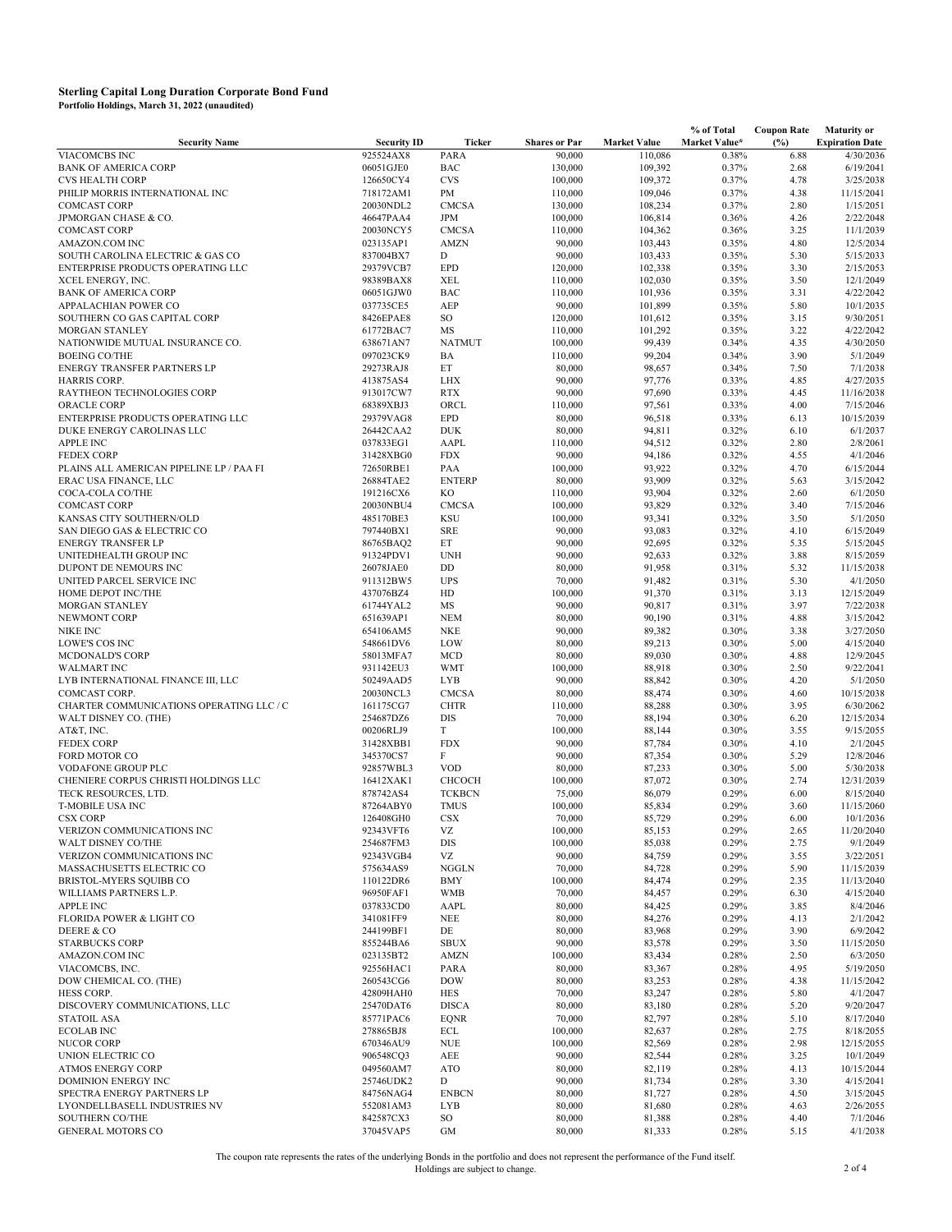|                                                        |                        |                             |                      |                     | % of Total     | <b>Coupon Rate</b> | <b>Maturity or</b>      |
|--------------------------------------------------------|------------------------|-----------------------------|----------------------|---------------------|----------------|--------------------|-------------------------|
| <b>Security Name</b>                                   | <b>Security ID</b>     | Ticker                      | <b>Shares or Par</b> | <b>Market Value</b> | Market Value*  | (%)                | <b>Expiration Date</b>  |
| <b>VIACOMCBS INC</b>                                   | 925524AX8              | PARA                        | 90,000               | 110,086             | 0.38%          | 6.88               | 4/30/2036               |
| <b>BANK OF AMERICA CORP</b>                            | 06051GJE0              | <b>BAC</b>                  | 130,000              | 109,392             | 0.37%          | 2.68               | 6/19/2041               |
| <b>CVS HEALTH CORP</b>                                 | 126650CY4              | <b>CVS</b>                  | 100,000              | 109,372             | 0.37%          | 4.78               | 3/25/2038               |
| PHILIP MORRIS INTERNATIONAL INC<br><b>COMCAST CORP</b> | 718172AM1<br>20030NDL2 | PM<br><b>CMCSA</b>          | 110,000              | 109,046<br>108,234  | 0.37%<br>0.37% | 4.38<br>2.80       | 11/15/2041<br>1/15/2051 |
| JPMORGAN CHASE & CO.                                   | 46647PAA4              | <b>JPM</b>                  | 130,000<br>100,000   | 106,814             | 0.36%          | 4.26               | 2/22/2048               |
| <b>COMCAST CORP</b>                                    | 20030NCY5              | <b>CMCSA</b>                | 110,000              | 104,362             | 0.36%          | 3.25               | 11/1/2039               |
| AMAZON.COM INC                                         | 023135AP1              | <b>AMZN</b>                 | 90,000               | 103,443             | 0.35%          | 4.80               | 12/5/2034               |
| SOUTH CAROLINA ELECTRIC & GAS CO                       | 837004BX7              | D                           | 90,000               | 103,433             | 0.35%          | 5.30               | 5/15/2033               |
| ENTERPRISE PRODUCTS OPERATING LLC                      | 29379VCB7              | <b>EPD</b>                  | 120,000              | 102,338             | 0.35%          | 3.30               | 2/15/2053               |
| XCEL ENERGY, INC.                                      | 98389BAX8              | <b>XEL</b>                  | 110,000              | 102,030             | 0.35%          | 3.50               | 12/1/2049               |
| <b>BANK OF AMERICA CORP</b>                            | 06051GJW0              | <b>BAC</b>                  | 110,000              | 101,936             | 0.35%          | 3.31               | 4/22/2042               |
| APPALACHIAN POWER CO                                   | 037735CE5              | AEP                         | 90,000               | 101,899             | 0.35%          | 5.80               | 10/1/2035               |
| SOUTHERN CO GAS CAPITAL CORP                           | 8426EPAE8              | SO                          | 120,000              | 101,612             | 0.35%          | 3.15               | 9/30/2051               |
| MORGAN STANLEY                                         | 61772BAC7              | MS                          | 110,000              | 101,292             | 0.35%          | 3.22               | 4/22/2042               |
| NATIONWIDE MUTUAL INSURANCE CO.                        | 638671AN7              | <b>NATMUT</b>               | 100,000              | 99,439              | 0.34%          | 4.35               | 4/30/2050               |
| <b>BOEING CO/THE</b>                                   | 097023CK9              | BA                          | 110,000              | 99,204              | 0.34%          | 3.90               | 5/1/2049                |
| ENERGY TRANSFER PARTNERS LP                            | 29273RAJ8              | ET                          | 80,000               | 98,657              | 0.34%          | 7.50               | 7/1/2038                |
| HARRIS CORP.                                           | 413875AS4              | <b>LHX</b>                  | 90,000               | 97,776              | 0.33%          | 4.85               | 4/27/2035               |
| RAYTHEON TECHNOLOGIES CORP                             | 913017CW7              | <b>RTX</b>                  | 90,000               | 97,690              | 0.33%          | 4.45               | 11/16/2038              |
| ORACLE CORP                                            | 68389XBJ3              | ORCL                        | 110,000              | 97,561              | 0.33%          | 4.00               | 7/15/2046               |
| ENTERPRISE PRODUCTS OPERATING LLC                      | 29379VAG8              | <b>EPD</b>                  | 80,000               | 96,518              | 0.33%          | 6.13               | 10/15/2039              |
| DUKE ENERGY CAROLINAS LLC                              | 26442CAA2              | <b>DUK</b>                  | 80,000               | 94,811              | 0.32%          | 6.10               | 6/1/2037                |
| <b>APPLE INC</b>                                       | 037833EG1              | AAPL                        | 110,000              | 94,512              | 0.32%          | 2.80               | 2/8/2061                |
| <b>FEDEX CORP</b>                                      | 31428XBG0              | <b>FDX</b>                  | 90,000               | 94,186              | 0.32%          | 4.55<br>4.70       | 4/1/2046<br>6/15/2044   |
| PLAINS ALL AMERICAN PIPELINE LP / PAA FI               | 72650RBE1<br>26884TAE2 | PAA<br><b>ENTERP</b>        | 100,000<br>80,000    | 93,922<br>93,909    | 0.32%          | 5.63               | 3/15/2042               |
| ERAC USA FINANCE, LLC<br>COCA-COLA CO/THE              | 191216CX6              | KO                          | 110,000              | 93,904              | 0.32%<br>0.32% | 2.60               | 6/1/2050                |
| <b>COMCAST CORP</b>                                    | 20030NBU4              | <b>CMCSA</b>                | 100,000              | 93,829              | 0.32%          | 3.40               | 7/15/2046               |
| KANSAS CITY SOUTHERN/OLD                               | 485170BE3              | <b>KSU</b>                  | 100,000              | 93,341              | 0.32%          | 3.50               | 5/1/2050                |
| SAN DIEGO GAS & ELECTRIC CO                            | 797440BX1              | <b>SRE</b>                  | 90,000               | 93,083              | 0.32%          | 4.10               | 6/15/2049               |
| <b>ENERGY TRANSFER LP</b>                              | 86765BAQ2              | ET                          | 90,000               | 92,695              | 0.32%          | 5.35               | 5/15/2045               |
| UNITEDHEALTH GROUP INC                                 | 91324PDV1              | <b>UNH</b>                  | 90,000               | 92,633              | 0.32%          | 3.88               | 8/15/2059               |
| DUPONT DE NEMOURS INC                                  | 26078JAE0              | DD                          | 80,000               | 91,958              | 0.31%          | 5.32               | 11/15/2038              |
| UNITED PARCEL SERVICE INC                              | 911312BW5              | <b>UPS</b>                  | 70,000               | 91,482              | 0.31%          | 5.30               | 4/1/2050                |
| HOME DEPOT INC/THE                                     | 437076BZ4              | HD                          | 100,000              | 91,370              | 0.31%          | 3.13               | 12/15/2049              |
| MORGAN STANLEY                                         | 61744YAL2              | MS                          | 90,000               | 90,817              | 0.31%          | 3.97               | 7/22/2038               |
| NEWMONT CORP                                           | 651639AP1              | <b>NEM</b>                  | 80,000               | 90,190              | 0.31%          | 4.88               | 3/15/2042               |
| NIKE INC                                               | 654106AM5              | NKE                         | 90,000               | 89,382              | 0.30%          | 3.38               | 3/27/2050               |
| LOWE'S COS INC                                         | 548661DV6              | LOW                         | 80,000               | 89,213              | 0.30%          | 5.00               | 4/15/2040               |
| <b>MCDONALD'S CORP</b>                                 | 58013MFA7              | <b>MCD</b>                  | 80,000               | 89,030              | 0.30%          | 4.88               | 12/9/2045               |
| <b>WALMART INC</b>                                     | 931142EU3              | <b>WMT</b>                  | 100,000              | 88,918              | 0.30%          | 2.50               | 9/22/2041               |
| LYB INTERNATIONAL FINANCE III, LLC                     | 50249AAD5              | <b>LYB</b>                  | 90,000               | 88,842              | 0.30%          | 4.20               | 5/1/2050                |
| COMCAST CORP.                                          | 20030NCL3              | <b>CMCSA</b>                | 80,000               | 88,474              | 0.30%          | 4.60               | 10/15/2038              |
| CHARTER COMMUNICATIONS OPERATING LLC / C               | 161175CG7              | <b>CHTR</b>                 | 110,000              | 88,288              | 0.30%          | 3.95               | 6/30/2062               |
| WALT DISNEY CO. (THE)                                  | 254687DZ6              | <b>DIS</b>                  | 70,000               | 88,194              | 0.30%          | 6.20               | 12/15/2034              |
| AT&T, INC.<br><b>FEDEX CORP</b>                        | 00206RLJ9<br>31428XBB1 | T<br><b>FDX</b>             | 100,000<br>90,000    | 88,144<br>87,784    | 0.30%<br>0.30% | 3.55<br>4.10       | 9/15/2055<br>2/1/2045   |
| FORD MOTOR CO                                          | 345370CS7              | F                           | 90,000               | 87,354              | 0.30%          | 5.29               | 12/8/2046               |
| <b>VODAFONE GROUP PLC</b>                              | 92857WBL3              | <b>VOD</b>                  | 80,000               | 87,233              | 0.30%          | 5.00               | 5/30/2038               |
| CHENIERE CORPUS CHRISTI HOLDINGS LLC                   | 16412XAK1              | <b>CHCOCH</b>               | 100,000              | 87,072              | 0.30%          | 2.74               | 12/31/2039              |
| TECK RESOURCES, LTD.                                   | 878742AS4              | <b>TCKBCN</b>               | 75,000               | 86,079              | 0.29%          | 6.00               | 8/15/2040               |
| <b>T-MOBILE USA INC</b>                                | 87264ABY0              | <b>TMUS</b>                 | 100,000              | 85,834              | 0.29%          | 3.60               | 11/15/2060              |
| <b>CSX CORP</b>                                        | 126408GH0              | <b>CSX</b>                  | 70,000               | 85,729              | 0.29%          | 6.00               | 10/1/2036               |
| VERIZON COMMUNICATIONS INC                             | 92343VFT6              | VZ                          | 100,000              | 85,153              | 0.29%          | 2.65               | 11/20/2040              |
| WALT DISNEY CO/THE                                     | 254687FM3              | <b>DIS</b>                  | 100,000              | 85,038              | 0.29%          | 2.75               | 9/1/2049                |
| VERIZON COMMUNICATIONS INC                             | 92343VGB4              | VZ                          | 90,000               | 84,759              | 0.29%          | 3.55               | 3/22/2051               |
| MASSACHUSETTS ELECTRIC CO                              | 575634AS9              | NGGLN                       | 70,000               | 84,728              | 0.29%          | 5.90               | 11/15/2039              |
| BRISTOL-MYERS SQUIBB CO                                | 110122DR6              | <b>BMY</b>                  | 100,000              | 84,474              | 0.29%          | 2.35               | 11/13/2040              |
| WILLIAMS PARTNERS L.P.                                 | 96950FAF1              | <b>WMB</b>                  | 70,000               | 84,457              | 0.29%          | 6.30               | 4/15/2040               |
| <b>APPLE INC</b>                                       | 037833CD0              | AAPL                        | 80,000               | 84,425              | 0.29%          | 3.85               | 8/4/2046                |
| FLORIDA POWER & LIGHT CO                               | 341081FF9              | <b>NEE</b>                  | 80,000               | 84,276              | 0.29%          | 4.13               | 2/1/2042                |
| DEERE & CO                                             | 244199BF1              | DE                          | 80,000               | 83,968              | 0.29%          | 3.90               | 6/9/2042                |
| <b>STARBUCKS CORP</b>                                  | 855244BA6              | <b>SBUX</b>                 | 90,000               | 83,578              | 0.29%          | 3.50               | 11/15/2050              |
| AMAZON.COM INC                                         | 023135BT2              | <b>AMZN</b>                 | 100,000              | 83,434              | 0.28%          | 2.50               | 6/3/2050                |
| VIACOMCBS, INC.                                        | 92556HAC1              | PARA                        | 80,000               | 83,367              | 0.28%          | 4.95               | 5/19/2050               |
| DOW CHEMICAL CO. (THE)                                 | 260543CG6              | <b>DOW</b>                  | 80,000               | 83,253              | 0.28%          | 4.38               | 11/15/2042              |
| HESS CORP.                                             | 42809HAH0              | <b>HES</b>                  | 70,000               | 83,247              | 0.28%          | 5.80               | 4/1/2047                |
| DISCOVERY COMMUNICATIONS, LLC<br><b>STATOIL ASA</b>    | 25470DAT6<br>85771PAC6 | <b>DISCA</b><br><b>EQNR</b> | 80,000<br>70,000     | 83,180<br>82,797    | 0.28%<br>0.28% | 5.20<br>5.10       | 9/20/2047<br>8/17/2040  |
| <b>ECOLAB INC</b>                                      | 278865BJ8              | <b>ECL</b>                  | 100,000              | 82,637              | 0.28%          | 2.75               | 8/18/2055               |
| <b>NUCOR CORP</b>                                      | 670346AU9              | <b>NUE</b>                  | 100,000              | 82,569              | 0.28%          | 2.98               | 12/15/2055              |
| UNION ELECTRIC CO                                      | 906548CQ3              | AEE                         | 90,000               | 82,544              | 0.28%          | 3.25               | 10/1/2049               |
| <b>ATMOS ENERGY CORP</b>                               | 049560AM7              | <b>ATO</b>                  | 80,000               | 82,119              | 0.28%          | 4.13               | 10/15/2044              |
| DOMINION ENERGY INC                                    | 25746UDK2              | D                           | 90,000               | 81,734              | 0.28%          | 3.30               | 4/15/2041               |
| SPECTRA ENERGY PARTNERS LP                             | 84756NAG4              | <b>ENBCN</b>                | 80,000               | 81,727              | 0.28%          | 4.50               | 3/15/2045               |
| LYONDELLBASELL INDUSTRIES NV                           | 552081AM3              | <b>LYB</b>                  | 80,000               | 81,680              | 0.28%          | 4.63               | 2/26/2055               |
| SOUTHERN CO/THE                                        | 842587CX3              | SO                          | 80,000               | 81,388              | 0.28%          | 4.40               | 7/1/2046                |
| <b>GENERAL MOTORS CO</b>                               | 37045VAP5              | <b>GM</b>                   | 80,000               | 81,333              | 0.28%          | 5.15               | 4/1/2038                |

The coupon rate represents the rates of the underlying Bonds in the portfolio and does not represent the performance of the Fund itself.<br>2 of 4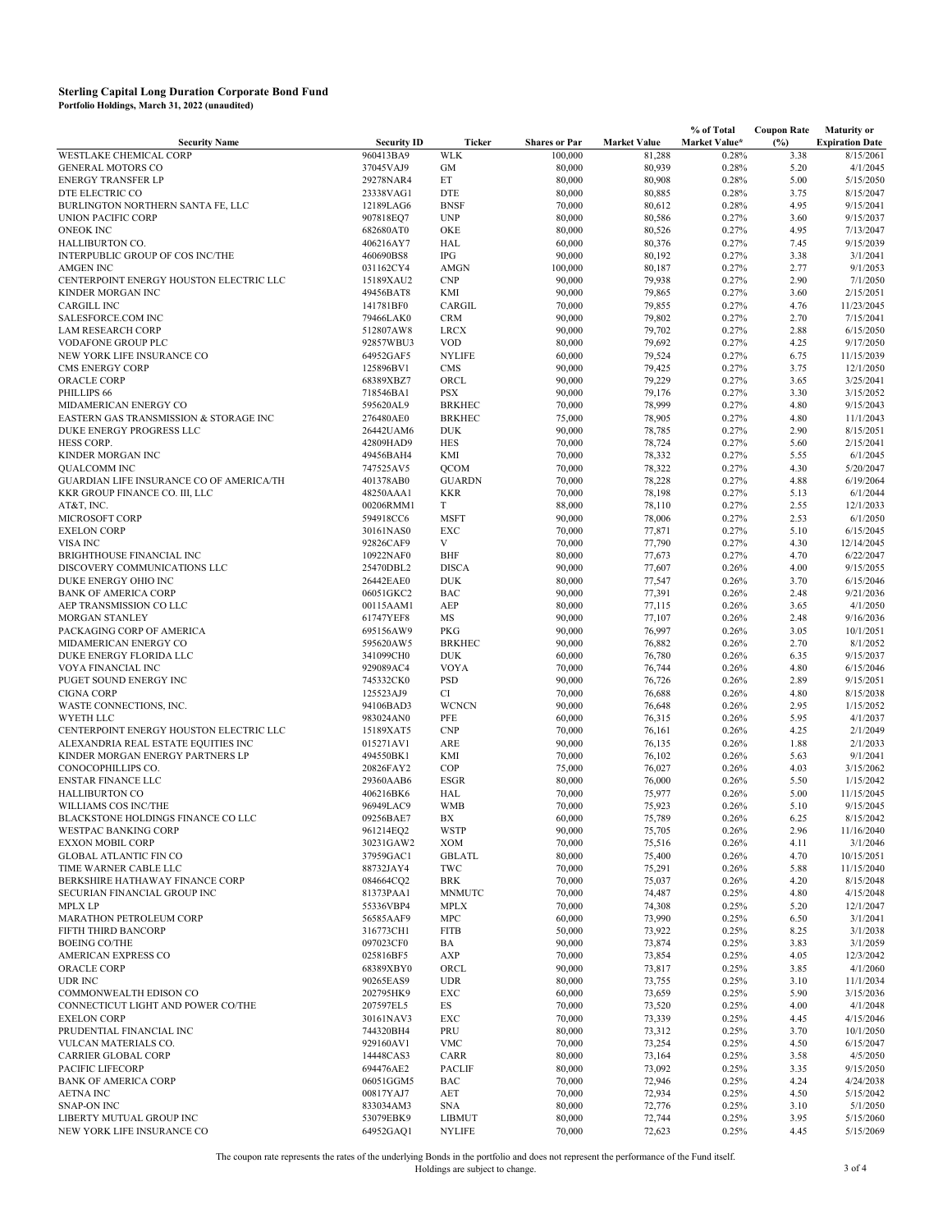|                                              |                        |                     |                      |                     | % of Total     | <b>Coupon Rate</b> | <b>Maturity or</b>      |
|----------------------------------------------|------------------------|---------------------|----------------------|---------------------|----------------|--------------------|-------------------------|
| <b>Security Name</b>                         | <b>Security ID</b>     | <b>Ticker</b>       | <b>Shares or Par</b> | <b>Market Value</b> | Market Value*  | (%)                | <b>Expiration Date</b>  |
| <b>WESTLAKE CHEMICAL CORP</b>                | 960413BA9              | <b>WLK</b>          | 100,000              | 81,288              | 0.28%          | 3.38               | 8/15/2061               |
| <b>GENERAL MOTORS CO</b>                     | 37045VAJ9              | GM                  | 80,000               | 80,939              | 0.28%          | 5.20               | 4/1/2045                |
| <b>ENERGY TRANSFER LP</b>                    | 29278NAR4              | ET                  | 80,000               | 80,908              | 0.28%          | 5.00               | 5/15/2050               |
| DTE ELECTRIC CO                              | 23338VAG1              | <b>DTE</b>          | 80,000               | 80,885              | 0.28%          | 3.75               | 8/15/2047               |
| BURLINGTON NORTHERN SANTA FE, LLC            | 12189LAG6              | <b>BNSF</b>         | 70,000               | 80,612              | 0.28%          | 4.95               | 9/15/2041               |
| <b>UNION PACIFIC CORP</b>                    | 907818EQ7              | <b>UNP</b>          | 80,000               | 80,586              | 0.27%          | 3.60               | 9/15/2037               |
| <b>ONEOK INC</b>                             | 682680AT0              | OKE                 | 80,000               | 80,526              | 0.27%          | 4.95               | 7/13/2047               |
| HALLIBURTON CO.                              | 406216AY7              | HAL                 | 60,000               | 80,376              | 0.27%          | 7.45               | 9/15/2039               |
| INTERPUBLIC GROUP OF COS INC/THE             | 460690BS8              | IPG                 | 90,000               | 80,192              | 0.27%          | 3.38               | 3/1/2041                |
| <b>AMGEN INC</b>                             | 031162CY4              | AMGN                | 100,000              | 80,187              | 0.27%          | 2.77               | 9/1/2053                |
| CENTERPOINT ENERGY HOUSTON ELECTRIC LLC      | 15189XAU2              | CNP                 | 90,000               | 79,938              | 0.27%          | 2.90               | 7/1/2050                |
| KINDER MORGAN INC                            | 49456BAT8              | KMI                 | 90,000               | 79,865              | 0.27%          | 3.60               | 2/15/2051               |
| <b>CARGILL INC</b>                           | 141781BF0              | CARGIL              | 70,000               | 79,855              | 0.27%          | 4.76               | 11/23/2045              |
| SALESFORCE.COM INC                           | 79466LAK0              | <b>CRM</b>          | 90,000               | 79,802              | 0.27%          | 2.70               | 7/15/2041               |
| <b>LAM RESEARCH CORP</b>                     | 512807AW8              | <b>LRCX</b>         | 90,000               | 79,702              | 0.27%          | 2.88               | 6/15/2050               |
| <b>VODAFONE GROUP PLC</b>                    | 92857WBU3              | <b>VOD</b>          | 80,000               | 79,692              | 0.27%          | 4.25               | 9/17/2050               |
| NEW YORK LIFE INSURANCE CO                   | 64952GAF5              | <b>NYLIFE</b>       | 60,000               | 79,524              | 0.27%          | 6.75               | 11/15/2039              |
| <b>CMS ENERGY CORP</b>                       | 125896BV1              | <b>CMS</b>          | 90,000               | 79,425              | 0.27%          | 3.75               | 12/1/2050               |
| ORACLE CORP                                  | 68389XBZ7              | ORCL                | 90,000               | 79,229              | 0.27%          | 3.65               | 3/25/2041               |
| PHILLIPS 66                                  | 718546BA1              | <b>PSX</b>          | 90,000               | 79,176              | 0.27%          | 3.30               | 3/15/2052               |
| MIDAMERICAN ENERGY CO                        | 595620AL9              | <b>BRKHEC</b>       | 70,000               | 78,999              | 0.27%          | 4.80               | 9/15/2043               |
| EASTERN GAS TRANSMISSION & STORAGE INC       | 276480AE0              | <b>BRKHEC</b>       | 75,000               | 78,905              | 0.27%          | 4.80               | 11/1/2043               |
| DUKE ENERGY PROGRESS LLC                     | 26442UAM6<br>42809HAD9 | <b>DUK</b>          | 90,000               | 78,785              | 0.27%          | 2.90               | 8/15/2051               |
| HESS CORP.                                   |                        | <b>HES</b>          | 70,000               | 78,724              | 0.27%          | 5.60               | 2/15/2041               |
| KINDER MORGAN INC                            | 49456BAH4              | KMI                 | 70,000               | 78,332              | 0.27%          | 5.55               | 6/1/2045                |
| QUALCOMM INC                                 | 747525AV5              | QCOM                | 70,000               | 78,322              | 0.27%          | 4.30               | 5/20/2047               |
| GUARDIAN LIFE INSURANCE CO OF AMERICA/TH     | 401378AB0              | <b>GUARDN</b>       | 70,000               | 78,228              | 0.27%          | 4.88               | 6/19/2064               |
| KKR GROUP FINANCE CO. III, LLC               | 48250AAA1              | <b>KKR</b>          | 70,000               | 78,198              | 0.27%          | 5.13               | 6/1/2044                |
| AT&T, INC.                                   | 00206RMM1              | T                   | 88,000               | 78,110              | 0.27%          | 2.55               | 12/1/2033               |
| MICROSOFT CORP<br><b>EXELON CORP</b>         | 594918CC6              | <b>MSFT</b>         | 90,000               | 78,006              | 0.27%          | 2.53               | 6/1/2050                |
|                                              | 30161NAS0              | <b>EXC</b><br>V     | 70,000               | 77,871              | 0.27%<br>0.27% | 5.10               | 6/15/2045               |
| VISA INC<br><b>BRIGHTHOUSE FINANCIAL INC</b> | 92826CAF9              |                     | 70,000               | 77,790              |                | 4.30               | 12/14/2045<br>6/22/2047 |
| DISCOVERY COMMUNICATIONS LLC                 | 10922NAF0<br>25470DBL2 | BHF<br><b>DISCA</b> | 80,000               | 77,673              | 0.27%          | 4.70<br>4.00       | 9/15/2055               |
| DUKE ENERGY OHIO INC                         |                        | <b>DUK</b>          | 90,000               | 77,607              | 0.26%<br>0.26% | 3.70               | 6/15/2046               |
| <b>BANK OF AMERICA CORP</b>                  | 26442EAE0<br>06051GKC2 | <b>BAC</b>          | 80,000               | 77,547              |                | 2.48               | 9/21/2036               |
| AEP TRANSMISSION CO LLC                      |                        | AEP                 | 90,000<br>80,000     | 77,391<br>77,115    | 0.26%<br>0.26% | 3.65               | 4/1/2050                |
| <b>MORGAN STANLEY</b>                        | 00115AAM1<br>61747YEF8 | <b>MS</b>           |                      | 77,107              | 0.26%          | 2.48               | 9/16/2036               |
| PACKAGING CORP OF AMERICA                    | 695156AW9              | PKG                 | 90,000<br>90,000     | 76,997              | 0.26%          | 3.05               | 10/1/2051               |
| MIDAMERICAN ENERGY CO                        | 595620AW5              | <b>BRKHEC</b>       | 90,000               | 76,882              | 0.26%          | 2.70               | 8/1/2052                |
| DUKE ENERGY FLORIDA LLC                      | 341099CH0              | <b>DUK</b>          | 60,000               | 76,780              | 0.26%          | 6.35               | 9/15/2037               |
| VOYA FINANCIAL INC                           | 929089AC4              | <b>VOYA</b>         | 70,000               | 76,744              | 0.26%          | 4.80               | 6/15/2046               |
| PUGET SOUND ENERGY INC                       | 745332CK0              | PSD                 | 90,000               | 76,726              | 0.26%          | 2.89               | 9/15/2051               |
| <b>CIGNA CORP</b>                            | 125523AJ9              | CI                  | 70,000               | 76,688              | 0.26%          | 4.80               | 8/15/2038               |
| WASTE CONNECTIONS, INC.                      | 94106BAD3              | <b>WCNCN</b>        | 90,000               | 76,648              | 0.26%          | 2.95               | 1/15/2052               |
| WYETH LLC                                    | 983024AN0              | PFE                 | 60,000               | 76,315              | 0.26%          | 5.95               | 4/1/2037                |
| CENTERPOINT ENERGY HOUSTON ELECTRIC LLC      | 15189XAT5              | CNP                 | 70,000               | 76,161              | 0.26%          | 4.25               | 2/1/2049                |
| ALEXANDRIA REAL ESTATE EQUITIES INC          | 015271AV1              | ARE                 | 90,000               | 76,135              | 0.26%          | 1.88               | 2/1/2033                |
| KINDER MORGAN ENERGY PARTNERS LP             | 494550BK1              | KMI                 | 70,000               | 76,102              | 0.26%          | 5.63               | 9/1/2041                |
| CONOCOPHILLIPS CO.                           | 20826FAY2              | COP                 | 75,000               | 76,027              | 0.26%          | 4.03               | 3/15/2062               |
| <b>ENSTAR FINANCE LLC</b>                    | 29360AAB6              | <b>ESGR</b>         | 80,000               | 76,000              | 0.26%          | 5.50               | 1/15/2042               |
| <b>HALLIBURTON CO</b>                        | 406216BK6              | HAL                 | 70,000               | 75,977              | 0.26%          | 5.00               | 11/15/2045              |
| WILLIAMS COS INC/THE                         | 96949LAC9              | <b>WMB</b>          | 70,000               | 75,923              | 0.26%          | 5.10               | 9/15/2045               |
| BLACKSTONE HOLDINGS FINANCE CO LLC           | 09256BAE7              | BX                  | 60,000               | 75,789              | 0.26%          | 6.25               | 8/15/2042               |
| WESTPAC BANKING CORP                         | 961214EQ2              | <b>WSTP</b>         | 90,000               | 75,705              | 0.26%          | 2.96               | 11/16/2040              |
| <b>EXXON MOBIL CORP</b>                      | 30231GAW2              | XOM                 | 70,000               | 75,516              | 0.26%          | 4.11               | 3/1/2046                |
| <b>GLOBAL ATLANTIC FIN CO</b>                | 37959GAC1              | <b>GBLATL</b>       | 80,000               | 75,400              | 0.26%          | 4.70               | 10/15/2051              |
| TIME WARNER CABLE LLC                        | 88732JAY4              | TWC                 | 70,000               | 75,291              | 0.26%          | 5.88               | 11/15/2040              |
| BERKSHIRE HATHAWAY FINANCE CORP              | 084664CQ2              | <b>BRK</b>          | 70,000               | 75,037              | 0.26%          | 4.20               | 8/15/2048               |
| SECURIAN FINANCIAL GROUP INC                 | 81373PAA1              | <b>MNMUTC</b>       | 70,000               | 74,487              | 0.25%          | 4.80               | 4/15/2048               |
| <b>MPLX LP</b>                               | 55336VBP4              | <b>MPLX</b>         | 70,000               | 74,308              | 0.25%          | 5.20               | 12/1/2047               |
| MARATHON PETROLEUM CORP                      | 56585AAF9              | MPC                 | 60,000               | 73,990              | 0.25%          | 6.50               | 3/1/2041                |
| FIFTH THIRD BANCORP                          | 316773CH1              | <b>FITB</b>         | 50,000               | 73,922              | 0.25%          | 8.25               | 3/1/2038                |
| <b>BOEING CO/THE</b>                         | 097023CF0              | BA                  | 90,000               | 73,874              | 0.25%          | 3.83               | 3/1/2059                |
| AMERICAN EXPRESS CO                          | 025816BF5              | AXP                 | 70,000               | 73,854              | 0.25%          | 4.05               | 12/3/2042               |
| ORACLE CORP                                  | 68389XBY0              | ORCL                | 90,000               | 73,817              | 0.25%          | 3.85               | 4/1/2060                |
| <b>UDR INC</b>                               | 90265EAS9              | <b>UDR</b>          | 80,000               | 73,755              | 0.25%          | 3.10               | 11/1/2034               |
| COMMONWEALTH EDISON CO                       | 202795HK9              | EXC                 | 60,000               | 73,659              | 0.25%          | 5.90               | 3/15/2036               |
| CONNECTICUT LIGHT AND POWER CO/THE           | 207597EL5              | ES                  | 70,000               | 73,520              | 0.25%          | 4.00               | 4/1/2048                |
| <b>EXELON CORP</b>                           | 30161NAV3              | EXC                 | 70,000               | 73,339              | 0.25%          | 4.45               | 4/15/2046               |
| PRUDENTIAL FINANCIAL INC                     | 744320BH4              | PRU                 | 80,000               | 73,312              | 0.25%          | 3.70               | 10/1/2050               |
| VULCAN MATERIALS CO.                         | 929160AV1              | VMC                 | 70,000               | 73,254              | 0.25%          | 4.50               | 6/15/2047               |
| CARRIER GLOBAL CORP                          | 14448CAS3              | CARR                | 80,000               | 73,164              | 0.25%          | 3.58               | 4/5/2050                |
| PACIFIC LIFECORP                             | 694476AE2              | <b>PACLIF</b>       | 80,000               | 73,092              | 0.25%          | 3.35               | 9/15/2050               |
| <b>BANK OF AMERICA CORP</b>                  | 06051GGM5              | BAC                 | 70,000               | 72,946              | 0.25%          | 4.24               | 4/24/2038               |
| <b>AETNA INC</b>                             | 00817YAJ7              | AET                 | 70,000               | 72,934              | 0.25%          | 4.50               | 5/15/2042               |
| <b>SNAP-ON INC</b>                           | 833034AM3              | <b>SNA</b>          | 80,000               | 72,776              | 0.25%          | 3.10               | 5/1/2050                |
| LIBERTY MUTUAL GROUP INC                     | 53079EBK9              | LIBMUT              | 80,000               | 72,744              | 0.25%          | 3.95               | 5/15/2060               |
| NEW YORK LIFE INSURANCE CO                   | 64952GAQ1              | <b>NYLIFE</b>       | 70,000               | 72,623              | 0.25%          | 4.45               | 5/15/2069               |

The coupon rate represents the rates of the underlying Bonds in the portfolio and does not represent the performance of the Fund itself.<br>3 of 4